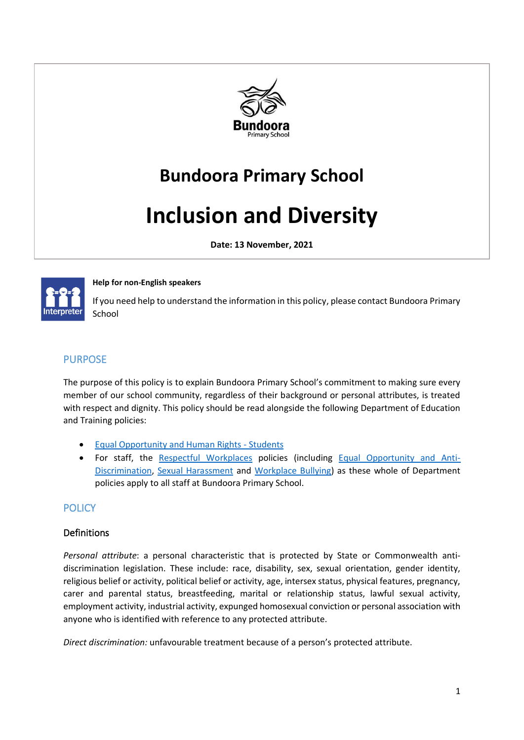

# **Bundoora Primary School**

# **Inclusion and Diversity**

**Date: 13 November, 2021**



#### **Help for non-English speakers**

If you need help to understand the information in this policy, please contact Bundoora Primary School

## PURPOSE

The purpose of this policy is to explain Bundoora Primary School's commitment to making sure every member of our school community, regardless of their background or personal attributes, is treated with respect and dignity. This policy should be read alongside the following Department of Education and Training policies:

- [Equal Opportunity and Human Rights -](https://www2.education.vic.gov.au/pal/equal-opportunity-human-rights-students/policy) Students
- For staff, the [Respectful Workplaces](https://www2.education.vic.gov.au/pal/respectful-workplaces/overview) policies (including [Equal Opportunity and Anti-](https://www2.education.vic.gov.au/pal/equal-opportunity/overview)[Discrimination,](https://www2.education.vic.gov.au/pal/equal-opportunity/overview) [Sexual Harassment](https://www2.education.vic.gov.au/pal/sexual-harassment/overview) and [Workplace Bullying\)](https://www2.education.vic.gov.au/pal/workplace-bullying/policy) as these whole of Department policies apply to all staff at Bundoora Primary School.

# **POLICY**

#### Definitions

*Personal attribute*: a personal characteristic that is protected by State or Commonwealth antidiscrimination legislation. These include: race, disability, sex, sexual orientation, gender identity, religious belief or activity, political belief or activity, age, intersex status, physical features, pregnancy, carer and parental status, breastfeeding, marital or relationship status, lawful sexual activity, employment activity, industrial activity, expunged homosexual conviction or personal association with anyone who is identified with reference to any protected attribute.

*Direct discrimination:* unfavourable treatment because of a person's protected attribute.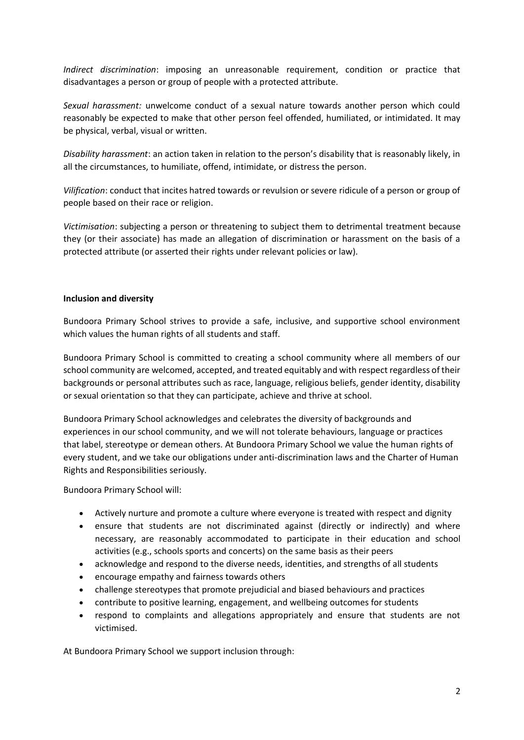*Indirect discrimination*: imposing an unreasonable requirement, condition or practice that disadvantages a person or group of people with a protected attribute.

*Sexual harassment:* unwelcome conduct of a sexual nature towards another person which could reasonably be expected to make that other person feel offended, humiliated, or intimidated. It may be physical, verbal, visual or written.

*Disability harassment*: an action taken in relation to the person's disability that is reasonably likely, in all the circumstances, to humiliate, offend, intimidate, or distress the person.

*Vilification*: conduct that incites hatred towards or revulsion or severe ridicule of a person or group of people based on their race or religion.

*Victimisation*: subjecting a person or threatening to subject them to detrimental treatment because they (or their associate) has made an allegation of discrimination or harassment on the basis of a protected attribute (or asserted their rights under relevant policies or law).

#### **Inclusion and diversity**

Bundoora Primary School strives to provide a safe, inclusive, and supportive school environment which values the human rights of all students and staff.

Bundoora Primary School is committed to creating a school community where all members of our school community are welcomed, accepted, and treated equitably and with respect regardless of their backgrounds or personal attributes such as race, language, religious beliefs, gender identity, disability or sexual orientation so that they can participate, achieve and thrive at school.

Bundoora Primary School acknowledges and celebrates the diversity of backgrounds and experiences in our school community, and we will not tolerate behaviours, language or practices that label, stereotype or demean others. At Bundoora Primary School we value the human rights of every student, and we take our obligations under anti-discrimination laws and the Charter of Human Rights and Responsibilities seriously.

Bundoora Primary School will:

- Actively nurture and promote a culture where everyone is treated with respect and dignity
- ensure that students are not discriminated against (directly or indirectly) and where necessary, are reasonably accommodated to participate in their education and school activities (e.g., schools sports and concerts) on the same basis as their peers
- acknowledge and respond to the diverse needs, identities, and strengths of all students
- encourage empathy and fairness towards others
- challenge stereotypes that promote prejudicial and biased behaviours and practices
- contribute to positive learning, engagement, and wellbeing outcomes for students
- respond to complaints and allegations appropriately and ensure that students are not victimised.

At Bundoora Primary School we support inclusion through: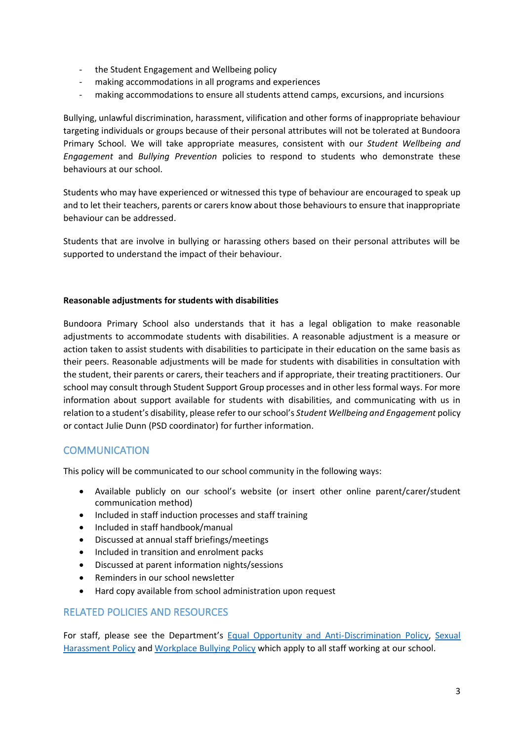- the Student Engagement and Wellbeing policy
- making accommodations in all programs and experiences
- making accommodations to ensure all students attend camps, excursions, and incursions

Bullying, unlawful discrimination, harassment, vilification and other forms of inappropriate behaviour targeting individuals or groups because of their personal attributes will not be tolerated at Bundoora Primary School. We will take appropriate measures, consistent with our *Student Wellbeing and Engagement* and *Bullying Prevention* policies to respond to students who demonstrate these behaviours at our school.

Students who may have experienced or witnessed this type of behaviour are encouraged to speak up and to let their teachers, parents or carers know about those behaviours to ensure that inappropriate behaviour can be addressed.

Students that are involve in bullying or harassing others based on their personal attributes will be supported to understand the impact of their behaviour.

#### **Reasonable adjustments for students with disabilities**

Bundoora Primary School also understands that it has a legal obligation to make reasonable adjustments to accommodate students with disabilities. A reasonable adjustment is a measure or action taken to assist students with disabilities to participate in their education on the same basis as their peers. Reasonable adjustments will be made for students with disabilities in consultation with the student, their parents or carers, their teachers and if appropriate, their treating practitioners. Our school may consult through Student Support Group processes and in other less formal ways. For more information about support available for students with disabilities, and communicating with us in relation to a student's disability, please refer to our school's *Student Wellbeing and Engagement* policy or contact Julie Dunn (PSD coordinator) for further information.

#### **COMMUNICATION**

This policy will be communicated to our school community in the following ways:

- Available publicly on our school's website (or insert other online parent/carer/student communication method)
- Included in staff induction processes and staff training
- Included in staff handbook/manual
- Discussed at annual staff briefings/meetings
- Included in transition and enrolment packs
- Discussed at parent information nights/sessions
- Reminders in our school newsletter
- Hard copy available from school administration upon request

## RELATED POLICIES AND RESOURCES

For staff, please see the Department's **Equal Opportunity and Anti-Discrimination Policy**, Sexual [Harassment Policy](https://www2.education.vic.gov.au/pal/sexual-harassment/policy-and-guidelines) and [Workplace Bullying Policy](https://www2.education.vic.gov.au/pal/workplace-bullying/policy) which apply to all staff working at our school.